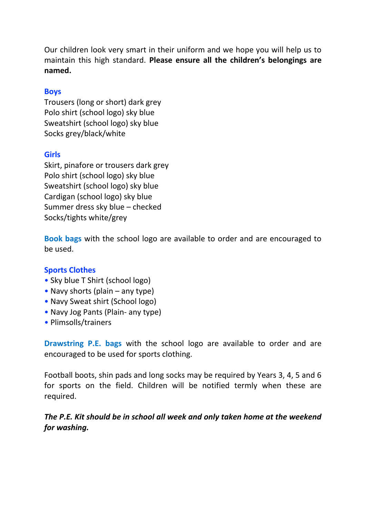Our children look very smart in their uniform and we hope you will help us to maintain this high standard. **Please ensure all the children's belongings are named.**

## **Boys**

Trousers (long or short) dark grey Polo shirt (school logo) sky blue Sweatshirt (school logo) sky blue Socks grey/black/white

## **Girls**

Skirt, pinafore or trousers dark grey Polo shirt (school logo) sky blue Sweatshirt (school logo) sky blue Cardigan (school logo) sky blue Summer dress sky blue – checked Socks/tights white/grey

**Book bags** with the school logo are available to order and are encouraged to be used.

## **Sports Clothes**

- Sky blue T Shirt (school logo)
- Navy shorts (plain any type)
- Navy Sweat shirt (School logo)
- Navy Jog Pants (Plain- any type)
- Plimsolls/trainers

**Drawstring P.E. bags** with the school logo are available to order and are encouraged to be used for sports clothing.

Football boots, shin pads and long socks may be required by Years 3, 4, 5 and 6 for sports on the field. Children will be notified termly when these are required.

*The P.E. Kit should be in school all week and only taken home at the weekend for washing.*